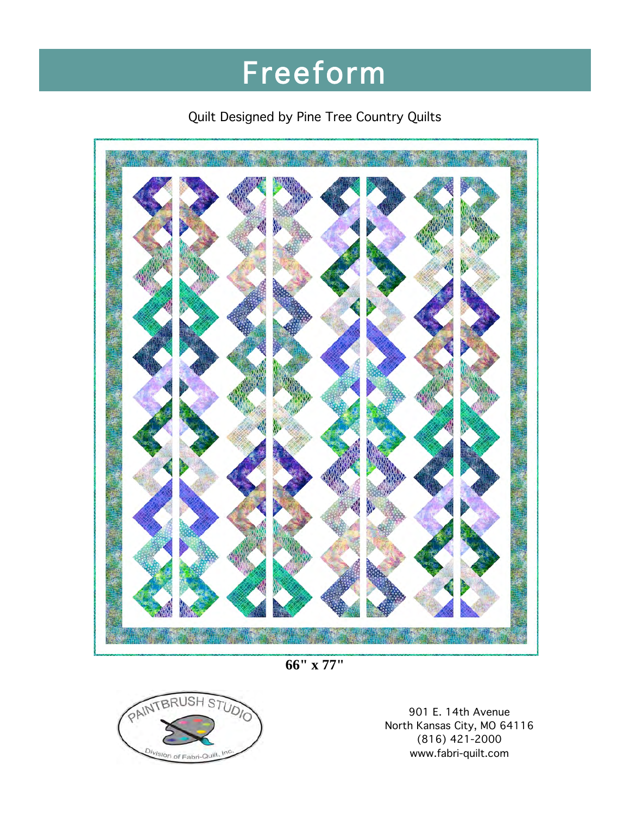# Freeform

### Quilt Designed by Pine Tree Country Quilts



**66" x 77"**



901 E. 14th Avenue North Kansas City, MO 64116 (816) 421-2000 www.fabri-quilt.com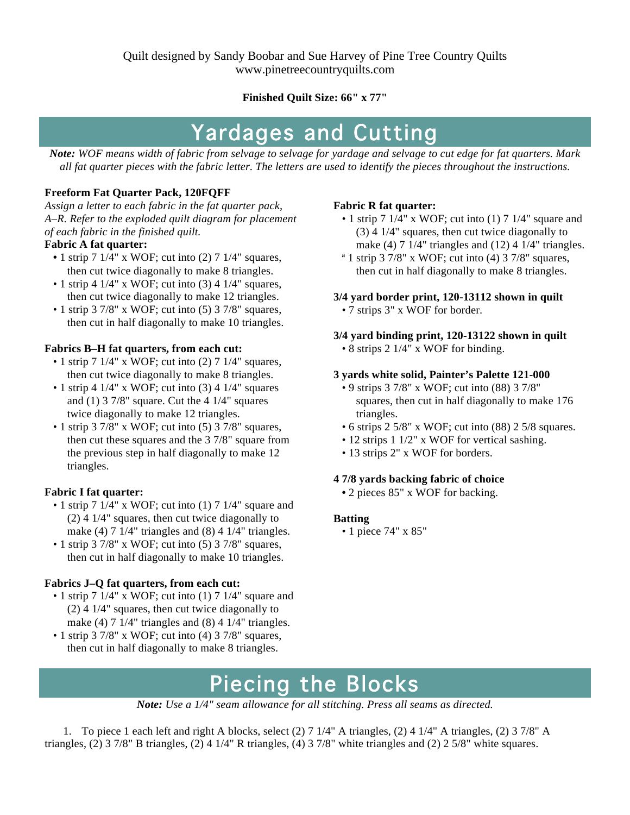Quilt designed by Sandy Boobar and Sue Harvey of Pine Tree Country Quilts www.pinetreecountryquilts.com

**Finished Quilt Size: 66" x 77"**

## Yardages and Cutting

*Note: WOF means width of fabric from selvage to selvage for yardage and selvage to cut edge for fat quarters. Mark all fat quarter pieces with the fabric letter. The letters are used to identify the pieces throughout the instructions.*

#### **Freeform Fat Quarter Pack, 120FQFF**

*Assign a letter to each fabric in the fat quarter pack, A–R. Refer to the exploded quilt diagram for placement of each fabric in the finished quilt.*

#### **Fabric A fat quarter:**

- 1 strip 7 1/4" x WOF; cut into (2) 7 1/4" squares, then cut twice diagonally to make 8 triangles.
- 1 strip 4  $1/4$ " x WOF; cut into (3) 4  $1/4$ " squares, then cut twice diagonally to make 12 triangles.
- 1 strip 3 7/8" x WOF; cut into (5) 3 7/8" squares, then cut in half diagonally to make 10 triangles.

#### **Fabrics B–H fat quarters, from each cut:**

- 1 strip 7 1/4" x WOF; cut into (2) 7 1/4" squares, then cut twice diagonally to make 8 triangles.
- 1 strip 4  $1/4$ " x WOF; cut into (3) 4  $1/4$ " squares and  $(1)$  3 7/8" square. Cut the 4 1/4" squares twice diagonally to make 12 triangles.
- $\cdot$  1 strip 3 7/8" x WOF; cut into (5) 3 7/8" squares, then cut these squares and the 3 7/8" square from the previous step in half diagonally to make 12 triangles.

#### **Fabric I fat quarter:**

- 1 strip 7  $1/4$ " x WOF; cut into (1) 7  $1/4$ " square and (2) 4 1/4" squares, then cut twice diagonally to make (4)  $7 \frac{1}{4}$ " triangles and (8)  $4 \frac{1}{4}$ " triangles.
- $\cdot$  1 strip 3 7/8" x WOF; cut into (5) 3 7/8" squares, then cut in half diagonally to make 10 triangles.

#### **Fabrics J–Q fat quarters, from each cut:**

- 1 strip 7  $1/4$ " x WOF; cut into (1) 7  $1/4$ " square and (2) 4 1/4" squares, then cut twice diagonally to make (4)  $7 \frac{1}{4}$ " triangles and (8)  $4 \frac{1}{4}$ " triangles.
- $\cdot$  1 strip 3 7/8" x WOF; cut into (4) 3 7/8" squares, then cut in half diagonally to make 8 triangles.

#### **Fabric R fat quarter:**

- 1 strip 7 1/4" x WOF; cut into (1) 7 1/4" square and (3) 4 1/4" squares, then cut twice diagonally to make (4)  $7 \frac{1}{4}$  triangles and (12)  $4 \frac{1}{4}$  triangles.
- $a$  1 strip 3 7/8" x WOF; cut into (4) 3 7/8" squares, then cut in half diagonally to make 8 triangles.

#### **3/4 yard border print, 120-13112 shown in quilt**

• 7 strips 3" x WOF for border.

#### **3/4 yard binding print, 120-13122 shown in quilt**

• 8 strips 2 1/4" x WOF for binding.

#### **3 yards white solid, Painter's Palette 121-000**

- 9 strips 3 7/8" x WOF; cut into (88) 3 7/8" squares, then cut in half diagonally to make 176 triangles.
- 6 strips 2 5/8" x WOF; cut into (88) 2 5/8 squares.
- 12 strips 1 1/2" x WOF for vertical sashing.
- 13 strips 2" x WOF for borders.

#### **4 7/8 yards backing fabric of choice**

 **•** 2 pieces 85" x WOF for backing.

#### **Batting**

• 1 piece 74" x 85"

## Piecing the Blocks

*Note: Use a 1/4" seam allowance for all stitching. Press all seams as directed.*

1. To piece 1 each left and right A blocks, select (2) 7 1/4" A triangles, (2) 4 1/4" A triangles, (2) 3 7/8" A triangles, (2) 3 7/8" B triangles, (2) 4 1/4" R triangles, (4) 3 7/8" white triangles and (2) 2 5/8" white squares.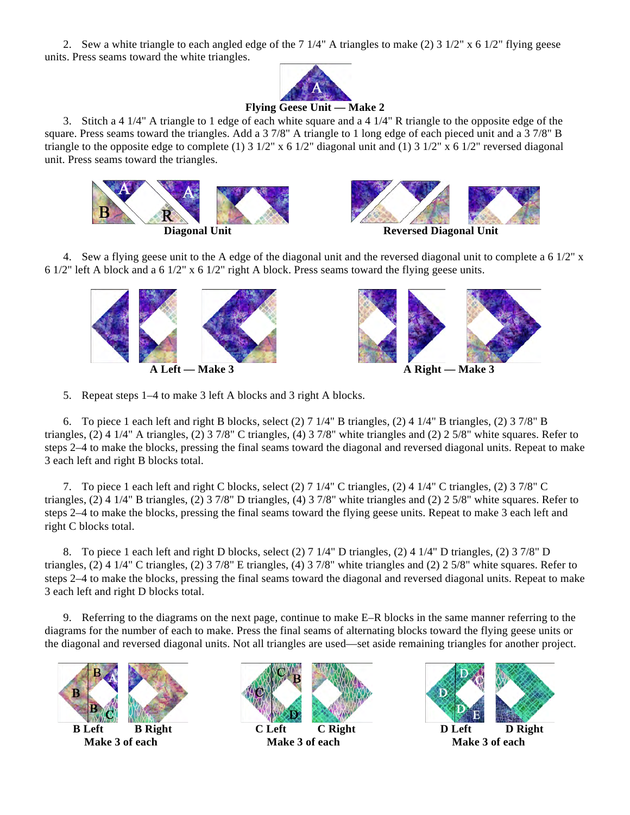2. Sew a white triangle to each angled edge of the 7 1/4" A triangles to make (2) 3 1/2" x 6 1/2" flying geese units. Press seams toward the white triangles.



**Flying Geese Unit — Make 2**

3. Stitch a 4 1/4" A triangle to 1 edge of each white square and a 4 1/4" R triangle to the opposite edge of the square. Press seams toward the triangles. Add a 3 7/8" A triangle to 1 long edge of each pieced unit and a 3 7/8" B triangle to the opposite edge to complete (1) 3 1/2" x 6 1/2" diagonal unit and (1) 3 1/2" x 6 1/2" reversed diagonal unit. Press seams toward the triangles.





**Diagonal Unit Reversed Diagonal Unit** 

4. Sew a flying geese unit to the A edge of the diagonal unit and the reversed diagonal unit to complete a 6 1/2" x 6 1/2" left A block and a 6 1/2" x 6 1/2" right A block. Press seams toward the flying geese units.



5. Repeat steps 1–4 to make 3 left A blocks and 3 right A blocks.

6. To piece 1 each left and right B blocks, select (2) 7 1/4" B triangles, (2) 4 1/4" B triangles, (2) 3 7/8" B triangles, (2) 4 1/4" A triangles, (2) 3 7/8" C triangles, (4) 3 7/8" white triangles and (2) 2 5/8" white squares. Refer to steps 2–4 to make the blocks, pressing the final seams toward the diagonal and reversed diagonal units. Repeat to make 3 each left and right B blocks total.

7. To piece 1 each left and right C blocks, select (2) 7 1/4" C triangles, (2) 4 1/4" C triangles, (2) 3 7/8" C triangles, (2) 4 1/4" B triangles, (2) 3 7/8" D triangles, (4) 3 7/8" white triangles and (2) 2 5/8" white squares. Refer to steps 2–4 to make the blocks, pressing the final seams toward the flying geese units. Repeat to make 3 each left and right C blocks total.

8. To piece 1 each left and right D blocks, select (2) 7 1/4" D triangles, (2) 4 1/4" D triangles, (2) 3 7/8" D triangles, (2) 4 1/4" C triangles, (2) 3 7/8" E triangles, (4) 3 7/8" white triangles and (2) 2 5/8" white squares. Refer to steps 2–4 to make the blocks, pressing the final seams toward the diagonal and reversed diagonal units. Repeat to make 3 each left and right D blocks total.

9. Referring to the diagrams on the next page, continue to make E–R blocks in the same manner referring to the diagrams for the number of each to make. Press the final seams of alternating blocks toward the flying geese units or the diagonal and reversed diagonal units. Not all triangles are used—set aside remaining triangles for another project.





 **Make 3 of each Make 3 of each Make 3 of each**

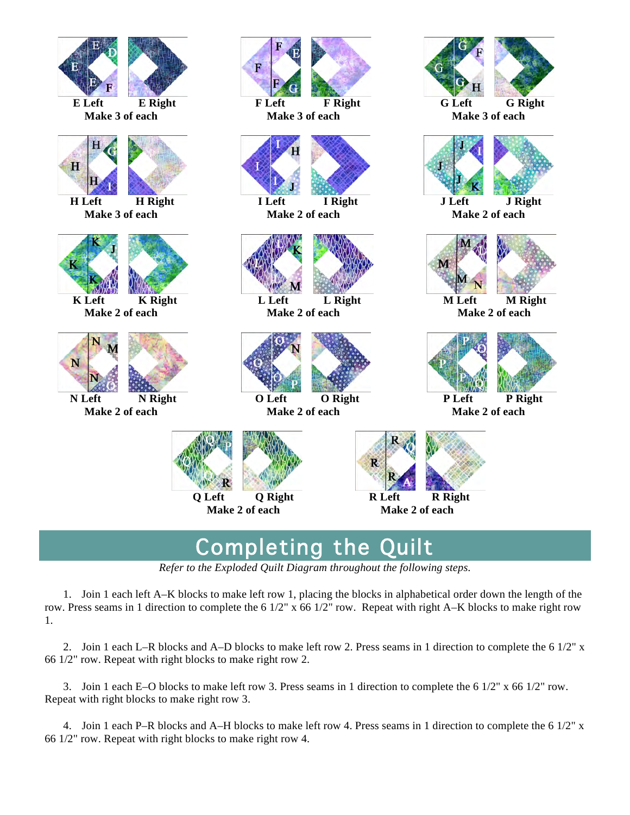

### Completing the Quilt

*Refer to the Exploded Quilt Diagram throughout the following steps.*

1. Join 1 each left A–K blocks to make left row 1, placing the blocks in alphabetical order down the length of the row. Press seams in 1 direction to complete the 6 1/2" x 66 1/2" row. Repeat with right A–K blocks to make right row 1.

2. Join 1 each L–R blocks and A–D blocks to make left row 2. Press seams in 1 direction to complete the 6 1/2" x 66 1/2" row. Repeat with right blocks to make right row 2.

3. Join 1 each E–O blocks to make left row 3. Press seams in 1 direction to complete the 6 1/2" x 66 1/2" row. Repeat with right blocks to make right row 3.

4. Join 1 each P–R blocks and A–H blocks to make left row 4. Press seams in 1 direction to complete the 6 1/2" x 66 1/2" row. Repeat with right blocks to make right row 4.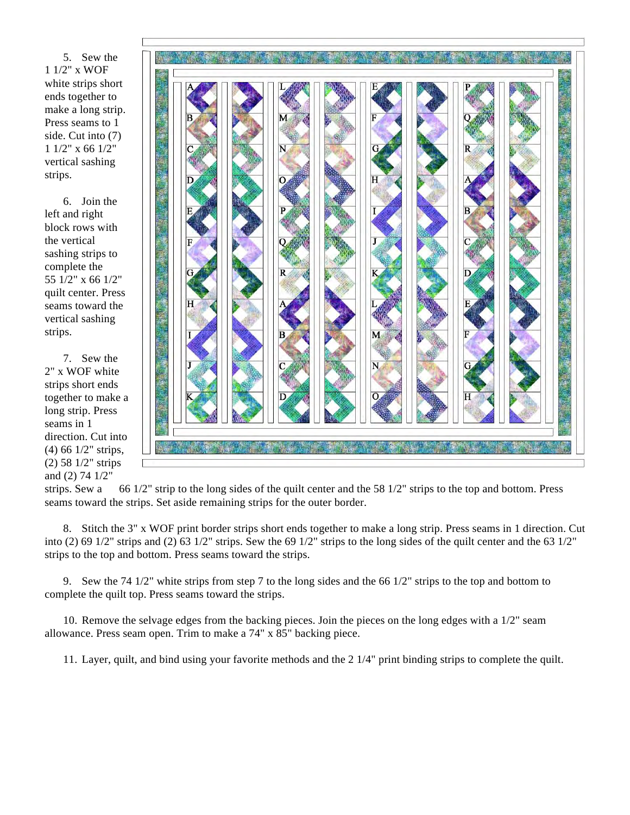5. Sew the 1 1/2" x WOF white strips short ends together to make a long strip. Press seams to 1 side. Cut into (7) 1 1/2" x 66 1/2" vertical sashing strips.

6. Join the left and right block rows with the vertical sashing strips to complete the 55 1/2" x 66 1/2" quilt center. Press seams toward the vertical sashing strips.

7. Sew the 2" x WOF white strips short ends together to make a long strip. Press seams in 1 direction. Cut into (4) 66 1/2" strips, (2) 58 1/2" strips and (2) 74 1/2"



strips. Sew a 66 1/2" strip to the long sides of the quilt center and the 58 1/2" strips to the top and bottom. Press seams toward the strips. Set aside remaining strips for the outer border.

8. Stitch the 3" x WOF print border strips short ends together to make a long strip. Press seams in 1 direction. Cut into (2) 69 1/2" strips and (2) 63 1/2" strips. Sew the 69 1/2" strips to the long sides of the quilt center and the 63 1/2" strips to the top and bottom. Press seams toward the strips.

9. Sew the 74 1/2" white strips from step 7 to the long sides and the 66 1/2" strips to the top and bottom to complete the quilt top. Press seams toward the strips.

10. Remove the selvage edges from the backing pieces. Join the pieces on the long edges with a 1/2" seam allowance. Press seam open. Trim to make a 74" x 85" backing piece.

11. Layer, quilt, and bind using your favorite methods and the 2 1/4" print binding strips to complete the quilt.